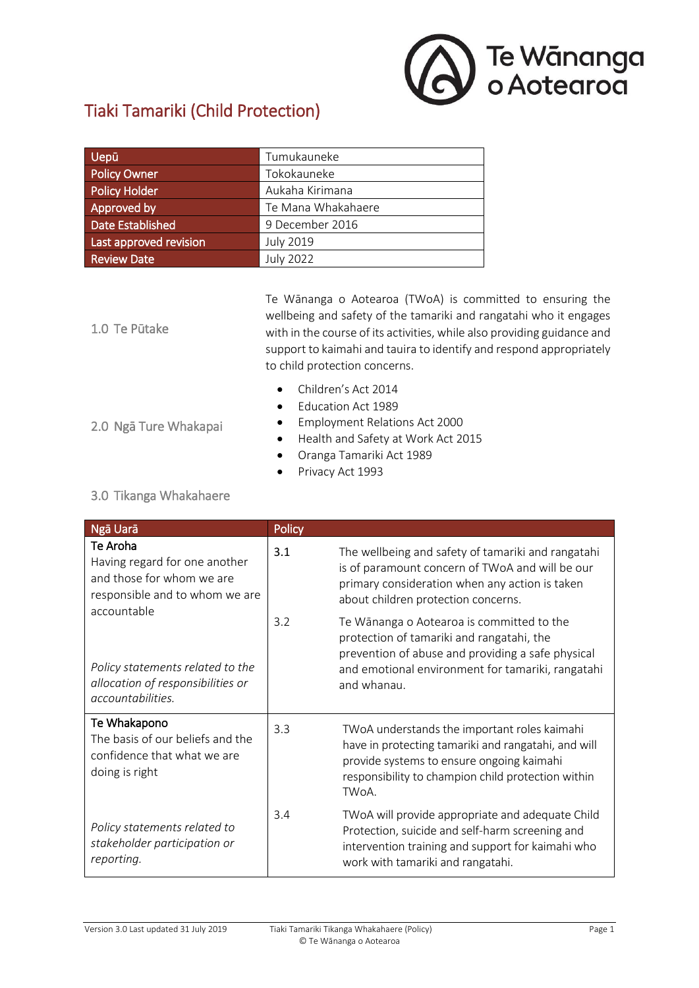

# Tiaki Tamariki (Child Protection)

| Uepū                   | Tumukauneke        |
|------------------------|--------------------|
| <b>Policy Owner</b>    | Tokokauneke        |
| Policy Holder          | Aukaha Kirimana    |
| Approved by            | Te Mana Whakahaere |
| Date Established       | 9 December 2016    |
| Last approved revision | <b>July 2019</b>   |
| <b>Review Date</b>     | <b>July 2022</b>   |

1.0 Te Pūtake Te Wānanga o Aotearoa (TWoA) is committed to ensuring the wellbeing and safety of the tamariki and rangatahi who it engages with in the course of its activities, while also providing guidance and support to kaimahi and tauira to identify and respond appropriately to child protection concerns.

- Children's Act 2014
	- Education Act 1989
- 2.0 Ngā Ture Whakapai
- **Employment Relations Act 2000** Health and Safety at Work Act 2015
- Oranga Tamariki Act 1989
- Privacy Act 1993

#### 3.0 Tikanga Whakahaere

| Ngā Uarā                                                                                                                                                                                                              | Policy |                                                                                                                                                                                                                 |
|-----------------------------------------------------------------------------------------------------------------------------------------------------------------------------------------------------------------------|--------|-----------------------------------------------------------------------------------------------------------------------------------------------------------------------------------------------------------------|
| Te Aroha<br>Having regard for one another<br>and those for whom we are<br>responsible and to whom we are<br>accountable<br>Policy statements related to the<br>allocation of responsibilities or<br>accountabilities. | 3.1    | The wellbeing and safety of tamariki and rangatahi<br>is of paramount concern of TWoA and will be our<br>primary consideration when any action is taken<br>about children protection concerns.                  |
|                                                                                                                                                                                                                       | 3.2    | Te Wānanga o Aotearoa is committed to the<br>protection of tamariki and rangatahi, the<br>prevention of abuse and providing a safe physical<br>and emotional environment for tamariki, rangatahi<br>and whanau. |
| Te Whakapono<br>The basis of our beliefs and the<br>confidence that what we are<br>doing is right                                                                                                                     | 3.3    | TWoA understands the important roles kaimahi<br>have in protecting tamariki and rangatahi, and will<br>provide systems to ensure ongoing kaimahi<br>responsibility to champion child protection within<br>TWoA. |
| Policy statements related to<br>stakeholder participation or<br>reporting.                                                                                                                                            | 3.4    | TWoA will provide appropriate and adequate Child<br>Protection, suicide and self-harm screening and<br>intervention training and support for kaimahi who<br>work with tamariki and rangatahi.                   |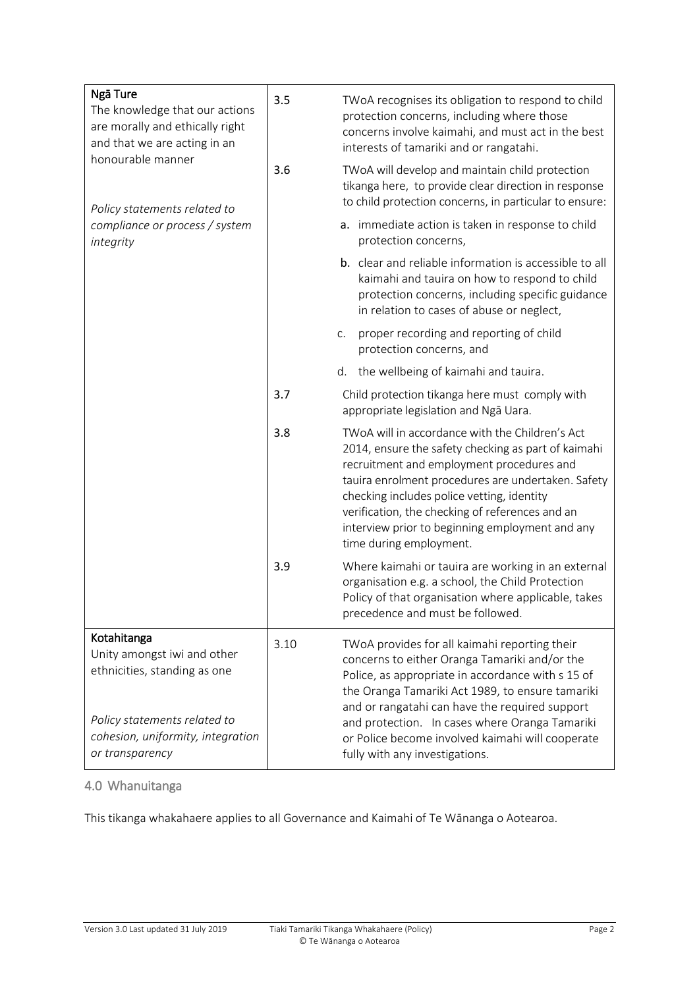| Ngā Ture<br>The knowledge that our actions<br>are morally and ethically right<br>and that we are acting in an<br>honourable manner<br>Policy statements related to | 3.5  | TWoA recognises its obligation to respond to child<br>protection concerns, including where those<br>concerns involve kaimahi, and must act in the best<br>interests of tamariki and or rangatahi.                                                                                                                                                                                                 |
|--------------------------------------------------------------------------------------------------------------------------------------------------------------------|------|---------------------------------------------------------------------------------------------------------------------------------------------------------------------------------------------------------------------------------------------------------------------------------------------------------------------------------------------------------------------------------------------------|
|                                                                                                                                                                    | 3.6  | TWoA will develop and maintain child protection<br>tikanga here, to provide clear direction in response<br>to child protection concerns, in particular to ensure:                                                                                                                                                                                                                                 |
| compliance or process / system<br>integrity                                                                                                                        |      | a. immediate action is taken in response to child<br>protection concerns,                                                                                                                                                                                                                                                                                                                         |
|                                                                                                                                                                    |      | b. clear and reliable information is accessible to all<br>kaimahi and tauira on how to respond to child<br>protection concerns, including specific guidance<br>in relation to cases of abuse or neglect,                                                                                                                                                                                          |
|                                                                                                                                                                    |      | proper recording and reporting of child<br>C.<br>protection concerns, and                                                                                                                                                                                                                                                                                                                         |
|                                                                                                                                                                    |      | the wellbeing of kaimahi and tauira.<br>d.                                                                                                                                                                                                                                                                                                                                                        |
|                                                                                                                                                                    | 3.7  | Child protection tikanga here must comply with<br>appropriate legislation and Nga Uara.                                                                                                                                                                                                                                                                                                           |
|                                                                                                                                                                    | 3.8  | TWoA will in accordance with the Children's Act<br>2014, ensure the safety checking as part of kaimahi<br>recruitment and employment procedures and<br>tauira enrolment procedures are undertaken. Safety<br>checking includes police vetting, identity<br>verification, the checking of references and an<br>interview prior to beginning employment and any<br>time during employment.          |
|                                                                                                                                                                    | 3.9  | Where kaimahi or tauira are working in an external<br>organisation e.g. a school, the Child Protection<br>Policy of that organisation where applicable, takes<br>precedence and must be followed.                                                                                                                                                                                                 |
| Kotahitanga<br>Unity amongst iwi and other<br>ethnicities, standing as one<br>Policy statements related to<br>cohesion, uniformity, integration<br>or transparency | 3.10 | TWoA provides for all kaimahi reporting their<br>concerns to either Oranga Tamariki and/or the<br>Police, as appropriate in accordance with s 15 of<br>the Oranga Tamariki Act 1989, to ensure tamariki<br>and or rangatahi can have the required support<br>and protection. In cases where Oranga Tamariki<br>or Police become involved kaimahi will cooperate<br>fully with any investigations. |

## 4.0 Whanuitanga

This tikanga whakahaere applies to all Governance and Kaimahi of Te Wānanga o Aotearoa.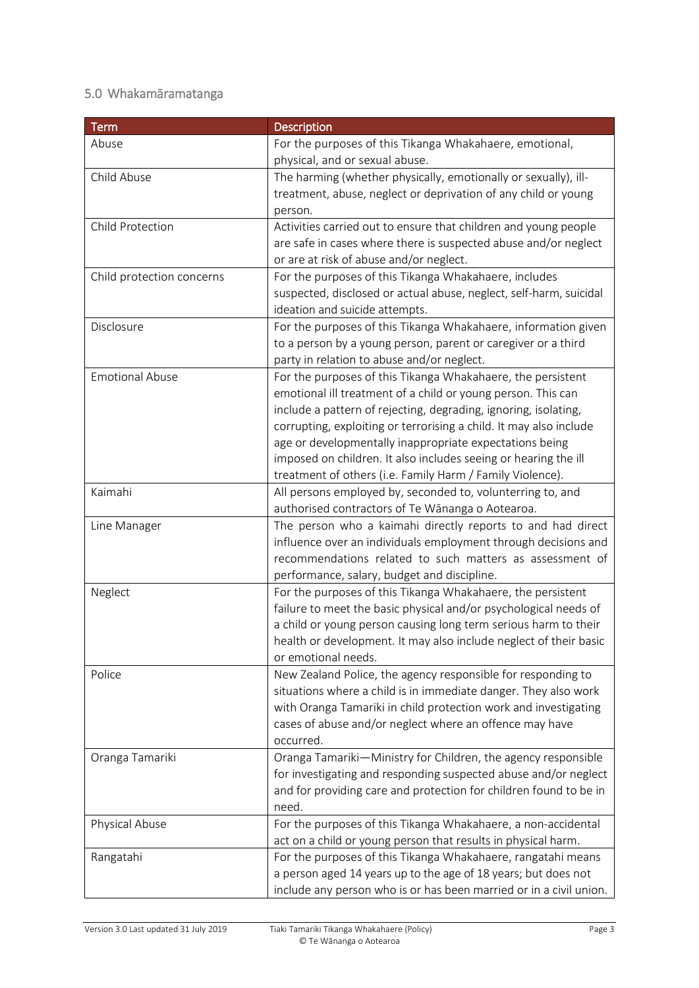## 5.0 Whakamāramatanga

| <b>Term</b>               | <b>Description</b>                                                 |
|---------------------------|--------------------------------------------------------------------|
| Abuse                     | For the purposes of this Tikanga Whakahaere, emotional,            |
|                           | physical, and or sexual abuse.                                     |
| Child Abuse               | The harming (whether physically, emotionally or sexually), ill-    |
|                           | treatment, abuse, neglect or deprivation of any child or young     |
|                           | person.                                                            |
| Child Protection          | Activities carried out to ensure that children and young people    |
|                           | are safe in cases where there is suspected abuse and/or neglect    |
|                           | or are at risk of abuse and/or neglect.                            |
| Child protection concerns | For the purposes of this Tikanga Whakahaere, includes              |
|                           | suspected, disclosed or actual abuse, neglect, self-harm, suicidal |
|                           | ideation and suicide attempts.                                     |
| Disclosure                | For the purposes of this Tikanga Whakahaere, information given     |
|                           | to a person by a young person, parent or caregiver or a third      |
|                           | party in relation to abuse and/or neglect.                         |
| <b>Emotional Abuse</b>    | For the purposes of this Tikanga Whakahaere, the persistent        |
|                           | emotional ill treatment of a child or young person. This can       |
|                           | include a pattern of rejecting, degrading, ignoring, isolating,    |
|                           | corrupting, exploiting or terrorising a child. It may also include |
|                           | age or developmentally inappropriate expectations being            |
|                           | imposed on children. It also includes seeing or hearing the ill    |
|                           | treatment of others (i.e. Family Harm / Family Violence).          |
| Kaimahi                   | All persons employed by, seconded to, volunterring to, and         |
|                           | authorised contractors of Te Wānanga o Aotearoa.                   |
| Line Manager              | The person who a kaimahi directly reports to and had direct        |
|                           | influence over an individuals employment through decisions and     |
|                           | recommendations related to such matters as assessment of           |
|                           | performance, salary, budget and discipline.                        |
| Neglect                   | For the purposes of this Tikanga Whakahaere, the persistent        |
|                           | failure to meet the basic physical and/or psychological needs of   |
|                           | a child or young person causing long term serious harm to their    |
|                           | health or development. It may also include neglect of their basic  |
|                           | or emotional needs.                                                |
| Police                    | New Zealand Police, the agency responsible for responding to       |
|                           | situations where a child is in immediate danger. They also work    |
|                           | with Oranga Tamariki in child protection work and investigating    |
|                           | cases of abuse and/or neglect where an offence may have            |
|                           | occurred.                                                          |
| Oranga Tamariki           | Oranga Tamariki-Ministry for Children, the agency responsible      |
|                           | for investigating and responding suspected abuse and/or neglect    |
|                           | and for providing care and protection for children found to be in  |
|                           | need.                                                              |
| Physical Abuse            | For the purposes of this Tikanga Whakahaere, a non-accidental      |
|                           | act on a child or young person that results in physical harm.      |
| Rangatahi                 | For the purposes of this Tikanga Whakahaere, rangatahi means       |
|                           | a person aged 14 years up to the age of 18 years; but does not     |
|                           | include any person who is or has been married or in a civil union. |